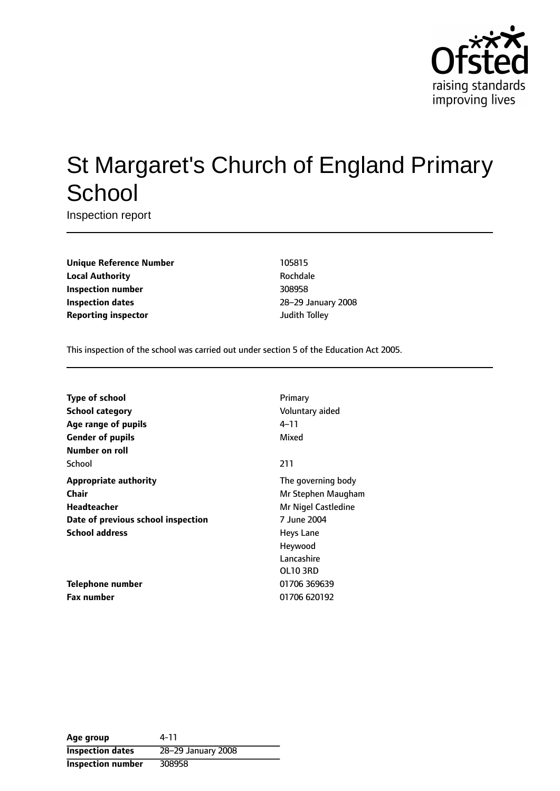

# St Margaret's Church of England Primary **School**

Inspection report

**Unique Reference Number** 105815 **Local Authority Rochdale Inspection number** 308958 **Inspection dates** 28-29 January 2008 **Reporting inspector and a structure of the United Structure of Tolley** 

This inspection of the school was carried out under section 5 of the Education Act 2005.

| <b>Type of school</b>              | Primary             |
|------------------------------------|---------------------|
| School category                    | Voluntary aided     |
| Age range of pupils                | 4–11                |
| <b>Gender of pupils</b>            | Mixed               |
| Number on roll                     |                     |
| School                             | 211                 |
| <b>Appropriate authority</b>       | The governing body  |
| Chair                              | Mr Stephen Maugham  |
| Headteacher                        | Mr Nigel Castledine |
| Date of previous school inspection | 7 June 2004         |
| <b>School address</b>              | Heys Lane           |
|                                    | Heywood             |
|                                    | Lancashire          |
|                                    | OL103RD             |
| Telephone number                   | 01706 369639        |
| <b>Fax number</b>                  | 01706 620192        |

**Age group** 4-11 **Inspection dates** 28-29 January 2008 **Inspection number** 308958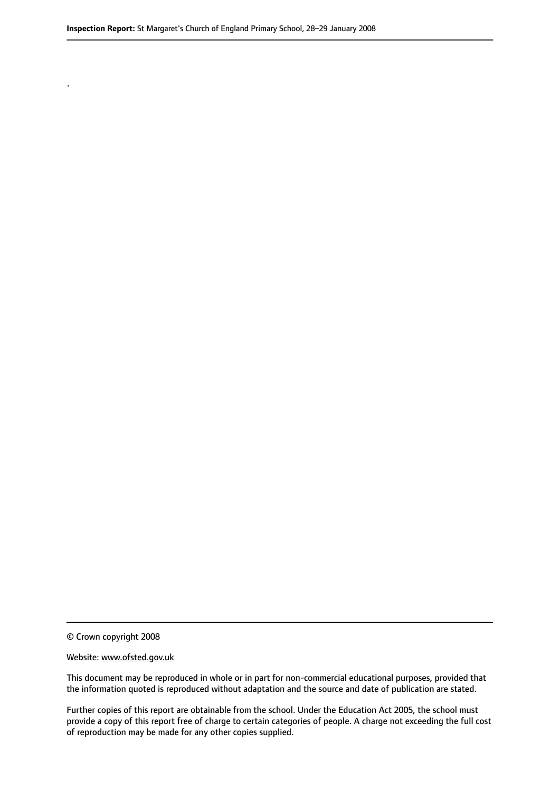© Crown copyright 2008

.

#### Website: www.ofsted.gov.uk

This document may be reproduced in whole or in part for non-commercial educational purposes, provided that the information quoted is reproduced without adaptation and the source and date of publication are stated.

Further copies of this report are obtainable from the school. Under the Education Act 2005, the school must provide a copy of this report free of charge to certain categories of people. A charge not exceeding the full cost of reproduction may be made for any other copies supplied.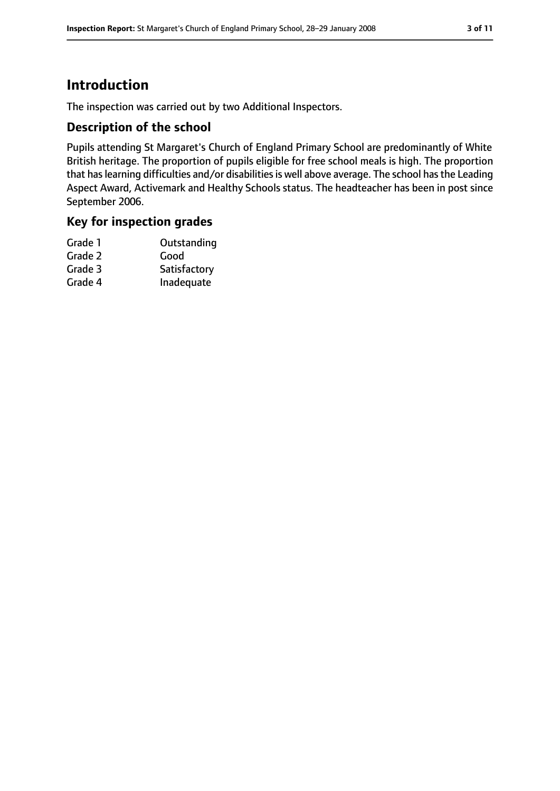# **Introduction**

The inspection was carried out by two Additional Inspectors.

#### **Description of the school**

Pupils attending St Margaret's Church of England Primary School are predominantly of White British heritage. The proportion of pupils eligible for free school meals is high. The proportion that has learning difficulties and/or disabilities is well above average. The school has the Leading Aspect Award, Activemark and Healthy Schools status. The headteacher has been in post since September 2006.

#### **Key for inspection grades**

| Grade 1 | Outstanding  |
|---------|--------------|
| Grade 2 | Good         |
| Grade 3 | Satisfactory |
| Grade 4 | Inadequate   |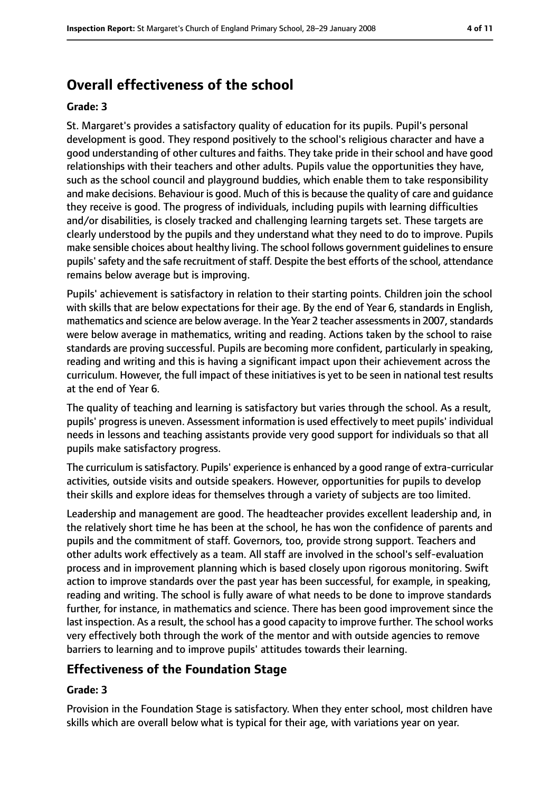# **Overall effectiveness of the school**

#### **Grade: 3**

St. Margaret's provides a satisfactory quality of education for its pupils. Pupil's personal development is good. They respond positively to the school's religious character and have a good understanding of other cultures and faiths. They take pride in their school and have good relationships with their teachers and other adults. Pupils value the opportunities they have, such as the school council and playground buddies, which enable them to take responsibility and make decisions. Behaviour is good. Much of this is because the quality of care and quidance they receive is good. The progress of individuals, including pupils with learning difficulties and/or disabilities, is closely tracked and challenging learning targets set. These targets are clearly understood by the pupils and they understand what they need to do to improve. Pupils make sensible choices about healthy living. The school follows government guidelinesto ensure pupils' safety and the safe recruitment of staff. Despite the best efforts of the school, attendance remains below average but is improving.

Pupils' achievement is satisfactory in relation to their starting points. Children join the school with skills that are below expectations for their age. By the end of Year 6, standards in English, mathematics and science are below average. In the Year 2 teacher assessments in 2007, standards were below average in mathematics, writing and reading. Actions taken by the school to raise standards are proving successful. Pupils are becoming more confident, particularly in speaking, reading and writing and this is having a significant impact upon their achievement across the curriculum. However, the full impact of these initiatives is yet to be seen in national test results at the end of Year 6.

The quality of teaching and learning is satisfactory but varies through the school. As a result, pupils' progress is uneven. Assessment information is used effectively to meet pupils' individual needs in lessons and teaching assistants provide very good support for individuals so that all pupils make satisfactory progress.

The curriculum issatisfactory. Pupils' experience is enhanced by a good range of extra-curricular activities, outside visits and outside speakers. However, opportunities for pupils to develop their skills and explore ideas for themselves through a variety of subjects are too limited.

Leadership and management are good. The headteacher provides excellent leadership and, in the relatively short time he has been at the school, he has won the confidence of parents and pupils and the commitment of staff. Governors, too, provide strong support. Teachers and other adults work effectively as a team. All staff are involved in the school's self-evaluation process and in improvement planning which is based closely upon rigorous monitoring. Swift action to improve standards over the past year has been successful, for example, in speaking, reading and writing. The school is fully aware of what needs to be done to improve standards further, for instance, in mathematics and science. There has been good improvement since the last inspection. As a result, the school has a good capacity to improve further. The school works very effectively both through the work of the mentor and with outside agencies to remove barriers to learning and to improve pupils' attitudes towards their learning.

#### **Effectiveness of the Foundation Stage**

#### **Grade: 3**

Provision in the Foundation Stage is satisfactory. When they enter school, most children have skills which are overall below what is typical for their age, with variations year on year.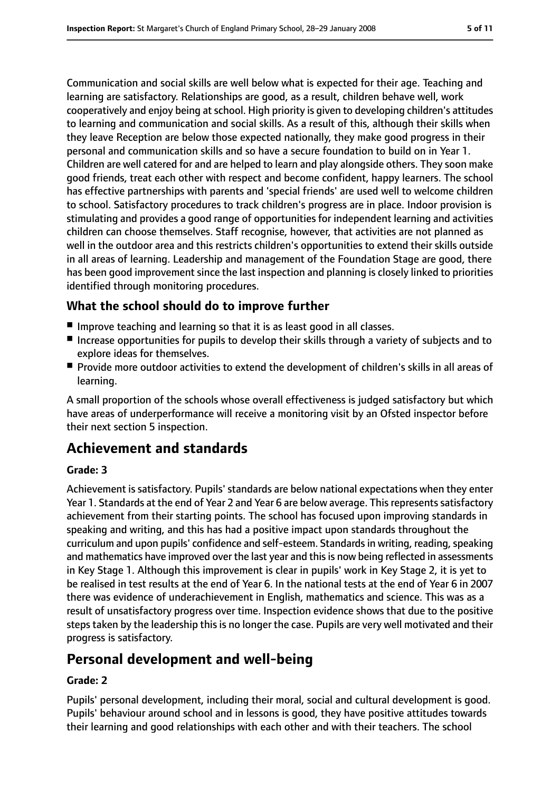Communication and social skills are well below what is expected for their age. Teaching and learning are satisfactory. Relationships are good, as a result, children behave well, work cooperatively and enjoy being atschool. High priority is given to developing children's attitudes to learning and communication and social skills. As a result of this, although their skills when they leave Reception are below those expected nationally, they make good progress in their personal and communication skills and so have a secure foundation to build on in Year 1. Children are well catered for and are helped to learn and play alongside others. They soon make good friends, treat each other with respect and become confident, happy learners. The school has effective partnerships with parents and 'special friends' are used well to welcome children to school. Satisfactory procedures to track children's progress are in place. Indoor provision is stimulating and provides a good range of opportunities for independent learning and activities children can choose themselves. Staff recognise, however, that activities are not planned as well in the outdoor area and this restricts children's opportunities to extend their skills outside in all areas of learning. Leadership and management of the Foundation Stage are good, there has been good improvement since the last inspection and planning is closely linked to priorities identified through monitoring procedures.

#### **What the school should do to improve further**

- Improve teaching and learning so that it is as least good in all classes.
- Increase opportunities for pupils to develop their skills through a variety of subjects and to explore ideas for themselves.
- Provide more outdoor activities to extend the development of children's skills in all areas of learning.

A small proportion of the schools whose overall effectiveness is judged satisfactory but which have areas of underperformance will receive a monitoring visit by an Ofsted inspector before their next section 5 inspection.

## **Achievement and standards**

#### **Grade: 3**

Achievement is satisfactory. Pupils' standards are below national expectations when they enter Year 1. Standards at the end of Year 2 and Year 6 are below average. This represents satisfactory achievement from their starting points. The school has focused upon improving standards in speaking and writing, and this has had a positive impact upon standards throughout the curriculum and upon pupils' confidence and self-esteem. Standards in writing, reading, speaking and mathematics have improved over the last year and this is now being reflected in assessments in Key Stage 1. Although this improvement is clear in pupils' work in Key Stage 2, it is yet to be realised in test results at the end of Year 6. In the national tests at the end of Year 6 in 2007 there was evidence of underachievement in English, mathematics and science. This was as a result of unsatisfactory progress over time. Inspection evidence shows that due to the positive steps taken by the leadership this is no longer the case. Pupils are very well motivated and their progress is satisfactory.

## **Personal development and well-being**

#### **Grade: 2**

Pupils' personal development, including their moral, social and cultural development is good. Pupils' behaviour around school and in lessons is good, they have positive attitudes towards their learning and good relationships with each other and with their teachers. The school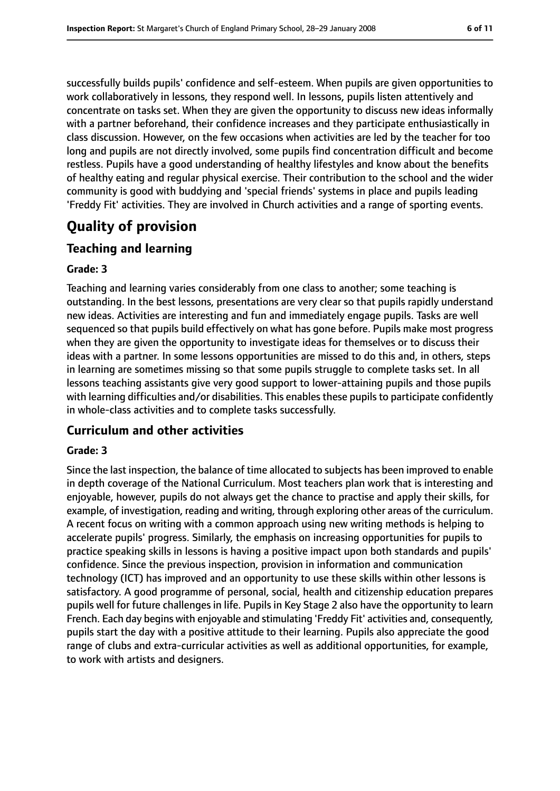successfully builds pupils' confidence and self-esteem. When pupils are given opportunities to work collaboratively in lessons, they respond well. In lessons, pupils listen attentively and concentrate on tasks set. When they are given the opportunity to discuss new ideas informally with a partner beforehand, their confidence increases and they participate enthusiastically in class discussion. However, on the few occasions when activities are led by the teacher for too long and pupils are not directly involved, some pupils find concentration difficult and become restless. Pupils have a good understanding of healthy lifestyles and know about the benefits of healthy eating and regular physical exercise. Their contribution to the school and the wider community is good with buddying and 'special friends' systems in place and pupils leading 'Freddy Fit' activities. They are involved in Church activities and a range of sporting events.

# **Quality of provision**

#### **Teaching and learning**

#### **Grade: 3**

Teaching and learning varies considerably from one class to another; some teaching is outstanding. In the best lessons, presentations are very clear so that pupils rapidly understand new ideas. Activities are interesting and fun and immediately engage pupils. Tasks are well sequenced so that pupils build effectively on what has gone before. Pupils make most progress when they are given the opportunity to investigate ideas for themselves or to discuss their ideas with a partner. In some lessons opportunities are missed to do this and, in others, steps in learning are sometimes missing so that some pupils struggle to complete tasks set. In all lessons teaching assistants give very good support to lower-attaining pupils and those pupils with learning difficulties and/or disabilities. This enables these pupils to participate confidently in whole-class activities and to complete tasks successfully.

#### **Curriculum and other activities**

#### **Grade: 3**

Since the last inspection, the balance of time allocated to subjects has been improved to enable in depth coverage of the National Curriculum. Most teachers plan work that is interesting and enjoyable, however, pupils do not always get the chance to practise and apply their skills, for example, of investigation, reading and writing, through exploring other areas of the curriculum. A recent focus on writing with a common approach using new writing methods is helping to accelerate pupils' progress. Similarly, the emphasis on increasing opportunities for pupils to practice speaking skills in lessons is having a positive impact upon both standards and pupils' confidence. Since the previous inspection, provision in information and communication technology (ICT) has improved and an opportunity to use these skills within other lessons is satisfactory. A good programme of personal, social, health and citizenship education prepares pupils well for future challenges in life. Pupils in Key Stage 2 also have the opportunity to learn French. Each day begins with enjoyable and stimulating 'Freddy Fit' activities and, consequently, pupils start the day with a positive attitude to their learning. Pupils also appreciate the good range of clubs and extra-curricular activities as well as additional opportunities, for example, to work with artists and designers.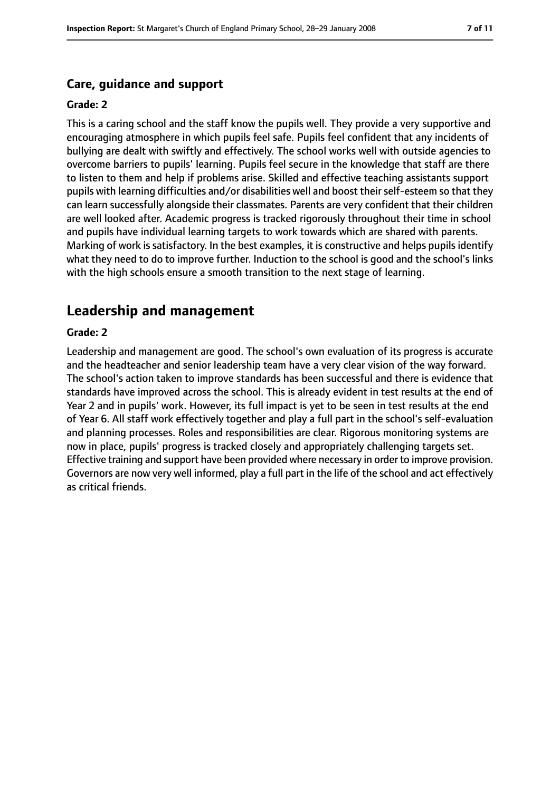#### **Care, guidance and support**

#### **Grade: 2**

This is a caring school and the staff know the pupils well. They provide a very supportive and encouraging atmosphere in which pupils feel safe. Pupils feel confident that any incidents of bullying are dealt with swiftly and effectively. The school works well with outside agencies to overcome barriers to pupils' learning. Pupils feel secure in the knowledge that staff are there to listen to them and help if problems arise. Skilled and effective teaching assistants support pupils with learning difficulties and/or disabilities well and boost their self-esteem so that they can learn successfully alongside their classmates. Parents are very confident that their children are well looked after. Academic progress is tracked rigorously throughout their time in school and pupils have individual learning targets to work towards which are shared with parents. Marking of work is satisfactory. In the best examples, it is constructive and helps pupils identify what they need to do to improve further. Induction to the school is good and the school's links with the high schools ensure a smooth transition to the next stage of learning.

## **Leadership and management**

#### **Grade: 2**

Leadership and management are good. The school's own evaluation of its progress is accurate and the headteacher and senior leadership team have a very clear vision of the way forward. The school's action taken to improve standards has been successful and there is evidence that standards have improved across the school. This is already evident in test results at the end of Year 2 and in pupils' work. However, its full impact is yet to be seen in test results at the end of Year 6. All staff work effectively together and play a full part in the school's self-evaluation and planning processes. Roles and responsibilities are clear. Rigorous monitoring systems are now in place, pupils' progress is tracked closely and appropriately challenging targets set. Effective training and support have been provided where necessary in order to improve provision. Governors are now very well informed, play a full part in the life of the school and act effectively as critical friends.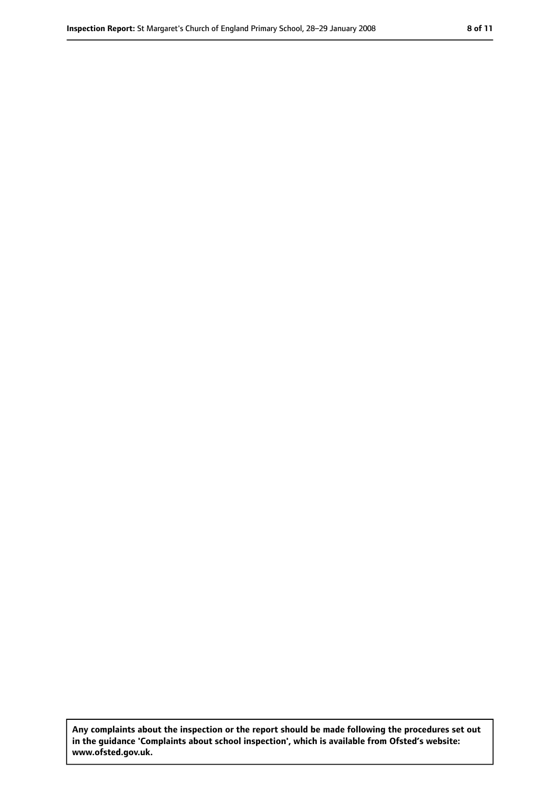**Any complaints about the inspection or the report should be made following the procedures set out in the guidance 'Complaints about school inspection', which is available from Ofsted's website: www.ofsted.gov.uk.**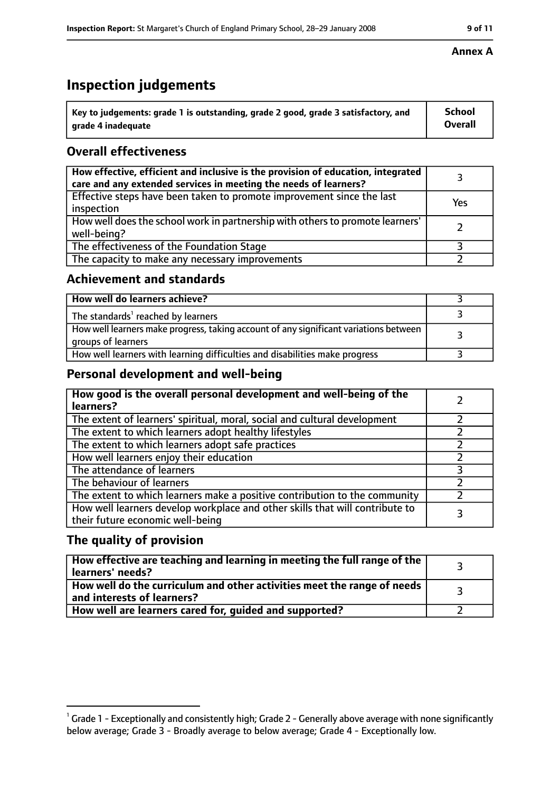# **Inspection judgements**

| $^{\backprime}$ Key to judgements: grade 1 is outstanding, grade 2 good, grade 3 satisfactory, and | School         |
|----------------------------------------------------------------------------------------------------|----------------|
| arade 4 inadequate                                                                                 | <b>Overall</b> |

## **Overall effectiveness**

| How effective, efficient and inclusive is the provision of education, integrated<br>care and any extended services in meeting the needs of learners? |     |
|------------------------------------------------------------------------------------------------------------------------------------------------------|-----|
| Effective steps have been taken to promote improvement since the last<br>inspection                                                                  | Yes |
| How well does the school work in partnership with others to promote learners'<br>well-being?                                                         |     |
| The effectiveness of the Foundation Stage                                                                                                            |     |
| The capacity to make any necessary improvements                                                                                                      |     |

#### **Achievement and standards**

| How well do learners achieve?                                                                               |  |
|-------------------------------------------------------------------------------------------------------------|--|
| The standards <sup>1</sup> reached by learners                                                              |  |
| How well learners make progress, taking account of any significant variations between<br>groups of learners |  |
| How well learners with learning difficulties and disabilities make progress                                 |  |

## **Personal development and well-being**

| How good is the overall personal development and well-being of the<br>learners?                                  |  |
|------------------------------------------------------------------------------------------------------------------|--|
| The extent of learners' spiritual, moral, social and cultural development                                        |  |
| The extent to which learners adopt healthy lifestyles                                                            |  |
| The extent to which learners adopt safe practices                                                                |  |
| How well learners enjoy their education                                                                          |  |
| The attendance of learners                                                                                       |  |
| The behaviour of learners                                                                                        |  |
| The extent to which learners make a positive contribution to the community                                       |  |
| How well learners develop workplace and other skills that will contribute to<br>their future economic well-being |  |

## **The quality of provision**

| How effective are teaching and learning in meeting the full range of the<br>learners' needs?          |  |
|-------------------------------------------------------------------------------------------------------|--|
| How well do the curriculum and other activities meet the range of needs<br>and interests of learners? |  |
| How well are learners cared for, guided and supported?                                                |  |

#### **Annex A**

 $^1$  Grade 1 - Exceptionally and consistently high; Grade 2 - Generally above average with none significantly below average; Grade 3 - Broadly average to below average; Grade 4 - Exceptionally low.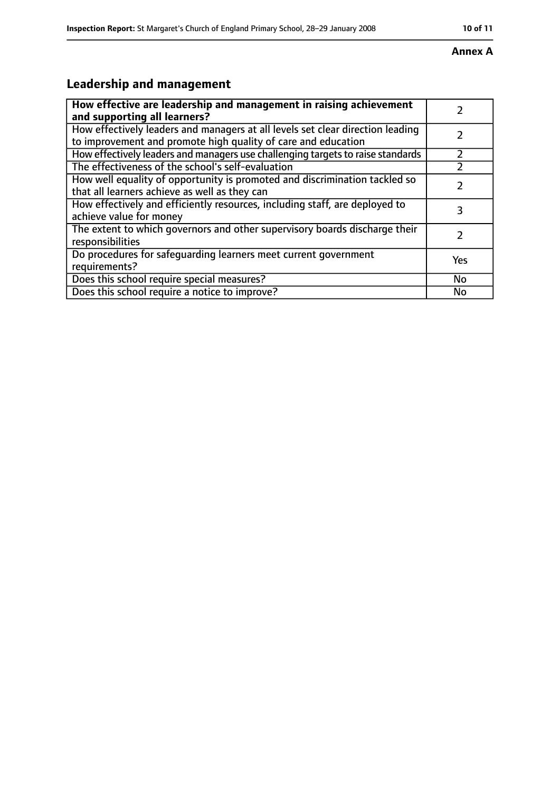#### **Annex A**

# **Leadership and management**

| How effective are leadership and management in raising achievement<br>and supporting all learners?                                              |           |
|-------------------------------------------------------------------------------------------------------------------------------------------------|-----------|
| How effectively leaders and managers at all levels set clear direction leading<br>to improvement and promote high quality of care and education |           |
| How effectively leaders and managers use challenging targets to raise standards                                                                 |           |
| The effectiveness of the school's self-evaluation                                                                                               |           |
| How well equality of opportunity is promoted and discrimination tackled so<br>that all learners achieve as well as they can                     |           |
| How effectively and efficiently resources, including staff, are deployed to<br>achieve value for money                                          | 3         |
| The extent to which governors and other supervisory boards discharge their<br>responsibilities                                                  |           |
| Do procedures for safequarding learners meet current government<br>requirements?                                                                | Yes       |
| Does this school require special measures?                                                                                                      | <b>No</b> |
| Does this school require a notice to improve?                                                                                                   | No        |